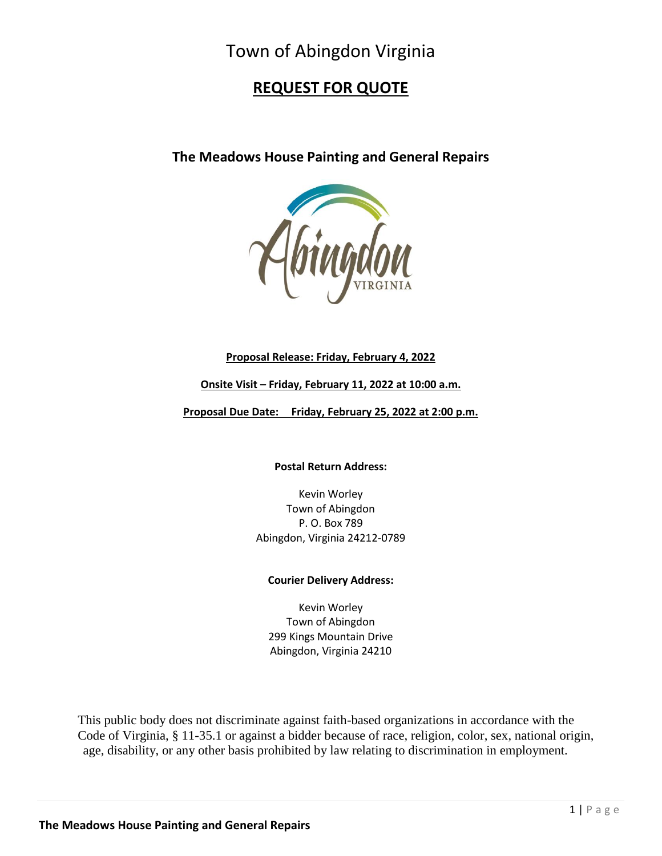# Town of Abingdon Virginia

## **REQUEST FOR QUOTE**

**The Meadows House Painting and General Repairs**



## **Proposal Release: Friday, February 4, 2022**

## **Onsite Visit – Friday, February 11, 2022 at 10:00 a.m.**

**Proposal Due Date: Friday, February 25, 2022 at 2:00 p.m.**

**Postal Return Address:**

Kevin Worley Town of Abingdon P. O. Box 789 Abingdon, Virginia 24212-0789

## **Courier Delivery Address:**

Kevin Worley Town of Abingdon 299 Kings Mountain Drive Abingdon, Virginia 24210

This public body does not discriminate against faith-based organizations in accordance with the Code of Virginia, § 11-35.1 or against a bidder because of race, religion, color, sex, national origin, age, disability, or any other basis prohibited by law relating to discrimination in employment.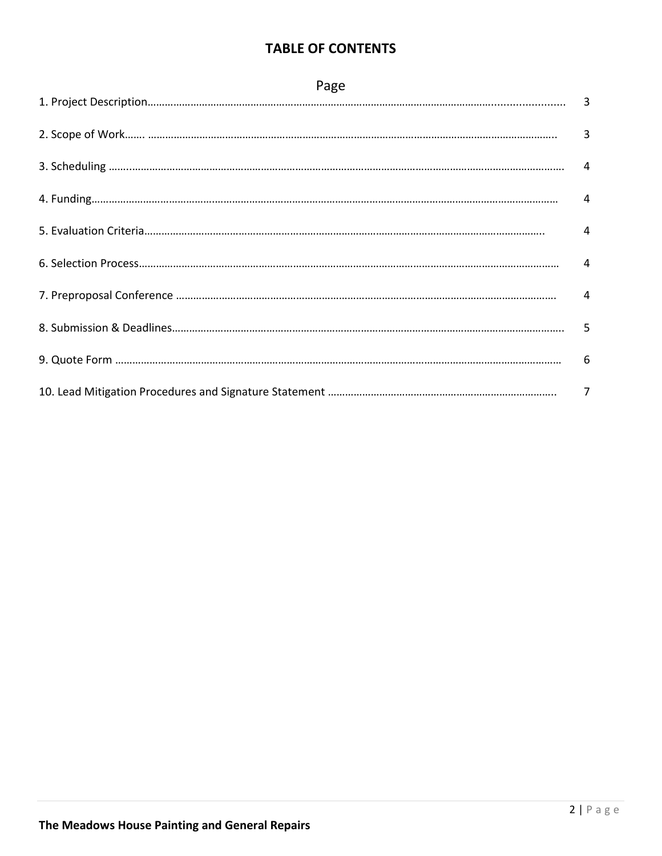## **TABLE OF CONTENTS**

| Page |  |  |  |  |  |
|------|--|--|--|--|--|
|      |  |  |  |  |  |
|      |  |  |  |  |  |
|      |  |  |  |  |  |
|      |  |  |  |  |  |
|      |  |  |  |  |  |
|      |  |  |  |  |  |
|      |  |  |  |  |  |
|      |  |  |  |  |  |
|      |  |  |  |  |  |
|      |  |  |  |  |  |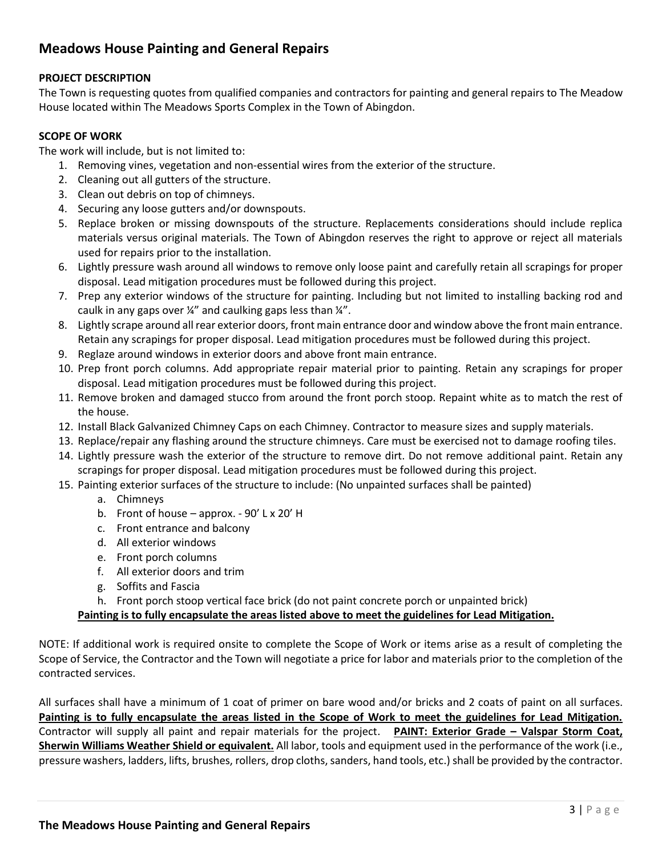## **Meadows House Painting and General Repairs**

## **PROJECT DESCRIPTION**

The Town is requesting quotes from qualified companies and contractors for painting and general repairs to The Meadow House located within The Meadows Sports Complex in the Town of Abingdon.

### **SCOPE OF WORK**

The work will include, but is not limited to:

- 1. Removing vines, vegetation and non-essential wires from the exterior of the structure.
- 2. Cleaning out all gutters of the structure.
- 3. Clean out debris on top of chimneys.
- 4. Securing any loose gutters and/or downspouts.
- 5. Replace broken or missing downspouts of the structure. Replacements considerations should include replica materials versus original materials. The Town of Abingdon reserves the right to approve or reject all materials used for repairs prior to the installation.
- 6. Lightly pressure wash around all windows to remove only loose paint and carefully retain all scrapings for proper disposal. Lead mitigation procedures must be followed during this project.
- 7. Prep any exterior windows of the structure for painting. Including but not limited to installing backing rod and caulk in any gaps over ¼" and caulking gaps less than ¼".
- 8. Lightly scrape around all rear exterior doors, front main entrance door and window above the front main entrance. Retain any scrapings for proper disposal. Lead mitigation procedures must be followed during this project.
- 9. Reglaze around windows in exterior doors and above front main entrance.
- 10. Prep front porch columns. Add appropriate repair material prior to painting. Retain any scrapings for proper disposal. Lead mitigation procedures must be followed during this project.
- 11. Remove broken and damaged stucco from around the front porch stoop. Repaint white as to match the rest of the house.
- 12. Install Black Galvanized Chimney Caps on each Chimney. Contractor to measure sizes and supply materials.
- 13. Replace/repair any flashing around the structure chimneys. Care must be exercised not to damage roofing tiles.
- 14. Lightly pressure wash the exterior of the structure to remove dirt. Do not remove additional paint. Retain any scrapings for proper disposal. Lead mitigation procedures must be followed during this project.
- 15. Painting exterior surfaces of the structure to include: (No unpainted surfaces shall be painted)
	- a. Chimneys
	- b. Front of house approx. 90' L x 20' H
	- c. Front entrance and balcony
	- d. All exterior windows
	- e. Front porch columns
	- f. All exterior doors and trim
	- g. Soffits and Fascia
	- h. Front porch stoop vertical face brick (do not paint concrete porch or unpainted brick)

## **Painting is to fully encapsulate the areas listed above to meet the guidelines for Lead Mitigation.**

NOTE: If additional work is required onsite to complete the Scope of Work or items arise as a result of completing the Scope of Service, the Contractor and the Town will negotiate a price for labor and materials prior to the completion of the contracted services.

All surfaces shall have a minimum of 1 coat of primer on bare wood and/or bricks and 2 coats of paint on all surfaces. **Painting is to fully encapsulate the areas listed in the Scope of Work to meet the guidelines for Lead Mitigation.**  Contractor will supply all paint and repair materials for the project. **PAINT: Exterior Grade – Valspar Storm Coat, Sherwin Williams Weather Shield or equivalent.** All labor, tools and equipment used in the performance of the work (i.e., pressure washers, ladders, lifts, brushes, rollers, drop cloths, sanders, hand tools, etc.) shall be provided by the contractor.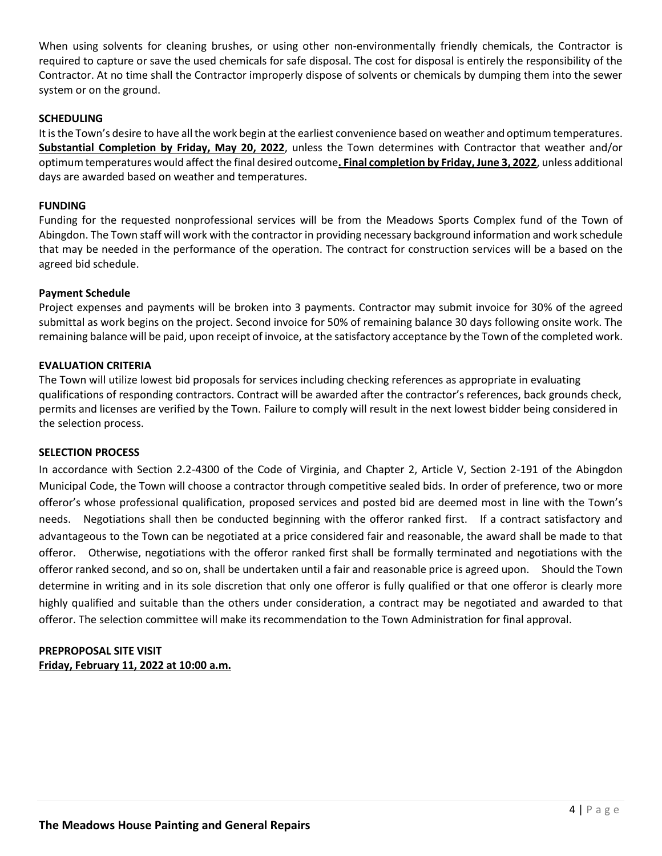When using solvents for cleaning brushes, or using other non-environmentally friendly chemicals, the Contractor is required to capture or save the used chemicals for safe disposal. The cost for disposal is entirely the responsibility of the Contractor. At no time shall the Contractor improperly dispose of solvents or chemicals by dumping them into the sewer system or on the ground.

#### **SCHEDULING**

It is the Town's desire to have all the work begin at the earliest convenience based on weather and optimum temperatures. **Substantial Completion by Friday, May 20, 2022**, unless the Town determines with Contractor that weather and/or optimum temperatures would affect the final desired outcome**. Final completion by Friday, June 3, 2022**, unless additional days are awarded based on weather and temperatures.

#### **FUNDING**

Funding for the requested nonprofessional services will be from the Meadows Sports Complex fund of the Town of Abingdon. The Town staff will work with the contractor in providing necessary background information and work schedule that may be needed in the performance of the operation. The contract for construction services will be a based on the agreed bid schedule.

#### **Payment Schedule**

Project expenses and payments will be broken into 3 payments. Contractor may submit invoice for 30% of the agreed submittal as work begins on the project. Second invoice for 50% of remaining balance 30 days following onsite work. The remaining balance will be paid, upon receipt of invoice, at the satisfactory acceptance by the Town of the completed work.

#### **EVALUATION CRITERIA**

The Town will utilize lowest bid proposals for services including checking references as appropriate in evaluating qualifications of responding contractors. Contract will be awarded after the contractor's references, back grounds check, permits and licenses are verified by the Town. Failure to comply will result in the next lowest bidder being considered in the selection process.

#### **SELECTION PROCESS**

In accordance with Section 2.2-4300 of the Code of Virginia, and Chapter 2, Article V, Section 2-191 of the Abingdon Municipal Code, the Town will choose a contractor through competitive sealed bids. In order of preference, two or more offeror's whose professional qualification, proposed services and posted bid are deemed most in line with the Town's needs. Negotiations shall then be conducted beginning with the offeror ranked first. If a contract satisfactory and advantageous to the Town can be negotiated at a price considered fair and reasonable, the award shall be made to that offeror. Otherwise, negotiations with the offeror ranked first shall be formally terminated and negotiations with the offeror ranked second, and so on, shall be undertaken until a fair and reasonable price is agreed upon. Should the Town determine in writing and in its sole discretion that only one offeror is fully qualified or that one offeror is clearly more highly qualified and suitable than the others under consideration, a contract may be negotiated and awarded to that offeror. The selection committee will make its recommendation to the Town Administration for final approval.

### **PREPROPOSAL SITE VISIT Friday, February 11, 2022 at 10:00 a.m.**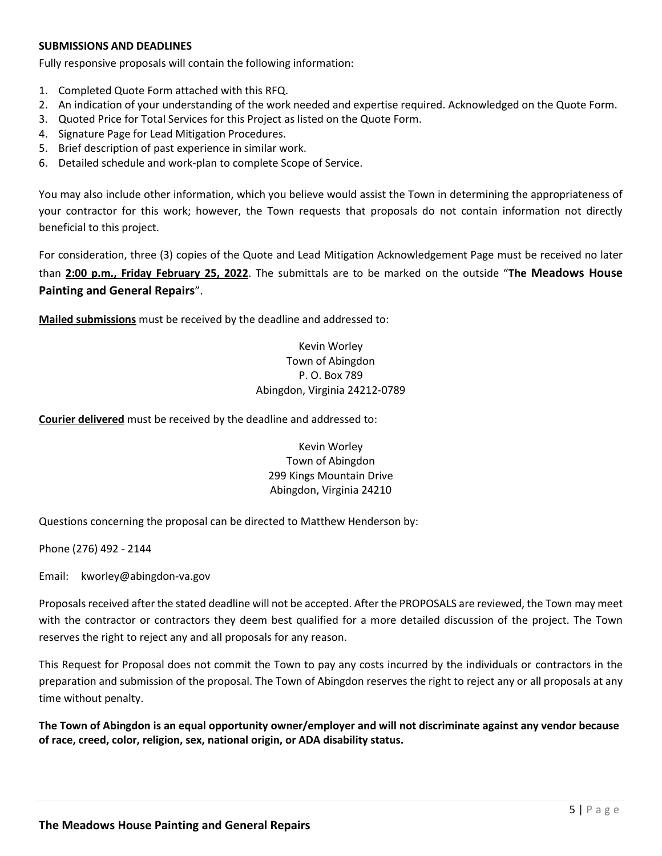#### **SUBMISSIONS AND DEADLINES**

Fully responsive proposals will contain the following information:

- 1. Completed Quote Form attached with this RFQ.
- 2. An indication of your understanding of the work needed and expertise required. Acknowledged on the Quote Form.
- 3. Quoted Price for Total Services for this Project as listed on the Quote Form.
- 4. Signature Page for Lead Mitigation Procedures.
- 5. Brief description of past experience in similar work.
- 6. Detailed schedule and work-plan to complete Scope of Service.

You may also include other information, which you believe would assist the Town in determining the appropriateness of your contractor for this work; however, the Town requests that proposals do not contain information not directly beneficial to this project.

For consideration, three (3) copies of the Quote and Lead Mitigation Acknowledgement Page must be received no later than **2:00 p.m., Friday February 25, 2022**. The submittals are to be marked on the outside "**The Meadows House Painting and General Repairs**".

**Mailed submissions** must be received by the deadline and addressed to:

## Kevin Worley Town of Abingdon P. O. Box 789 Abingdon, Virginia 24212-0789

**Courier delivered** must be received by the deadline and addressed to:

## Kevin Worley Town of Abingdon 299 Kings Mountain Drive Abingdon, Virginia 24210

Questions concerning the proposal can be directed to Matthew Henderson by:

Phone (276) 492 - 2144

Email: kworley@abingdon-va.gov

Proposals received after the stated deadline will not be accepted. After the PROPOSALS are reviewed, the Town may meet with the contractor or contractors they deem best qualified for a more detailed discussion of the project. The Town reserves the right to reject any and all proposals for any reason.

This Request for Proposal does not commit the Town to pay any costs incurred by the individuals or contractors in the preparation and submission of the proposal. The Town of Abingdon reserves the right to reject any or all proposals at any time without penalty.

**The Town of Abingdon is an equal opportunity owner/employer and will not discriminate against any vendor because of race, creed, color, religion, sex, national origin, or ADA disability status.**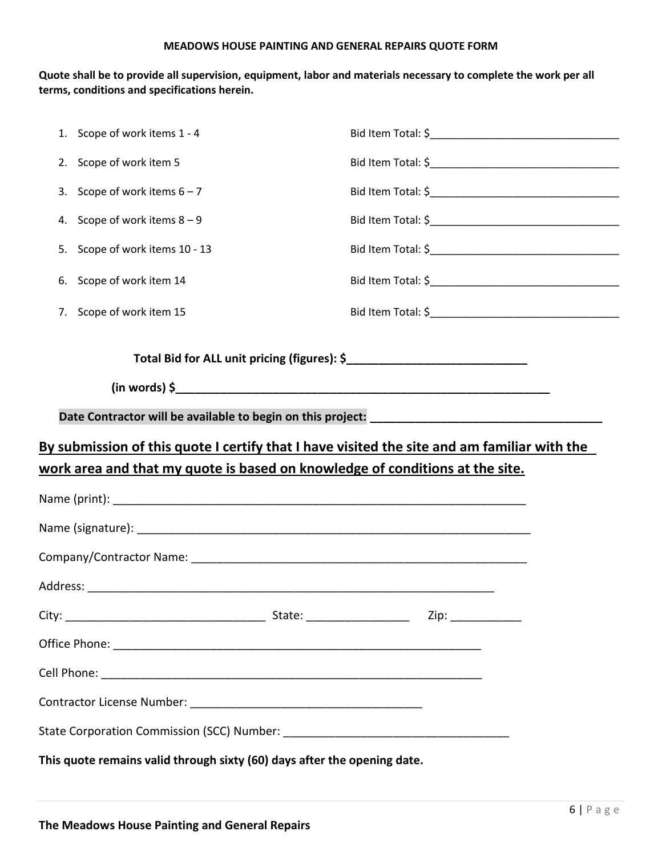#### **MEADOWS HOUSE PAINTING AND GENERAL REPAIRS QUOTE FORM**

**Quote shall be to provide all supervision, equipment, labor and materials necessary to complete the work per all terms, conditions and specifications herein.**

|                                                                                                                                                                             | 1. Scope of work items 1 - 4                                             |                                              |  |  |  |  |  |
|-----------------------------------------------------------------------------------------------------------------------------------------------------------------------------|--------------------------------------------------------------------------|----------------------------------------------|--|--|--|--|--|
| 2.                                                                                                                                                                          | Scope of work item 5                                                     |                                              |  |  |  |  |  |
| 3.                                                                                                                                                                          | Scope of work items $6 - 7$                                              |                                              |  |  |  |  |  |
| 4.                                                                                                                                                                          | Scope of work items $8 - 9$                                              |                                              |  |  |  |  |  |
| 5.                                                                                                                                                                          | Scope of work items 10 - 13                                              |                                              |  |  |  |  |  |
| 6.                                                                                                                                                                          | Scope of work item 14                                                    |                                              |  |  |  |  |  |
| 7.                                                                                                                                                                          | Scope of work item 15                                                    |                                              |  |  |  |  |  |
|                                                                                                                                                                             |                                                                          | Total Bid for ALL unit pricing (figures): \$ |  |  |  |  |  |
|                                                                                                                                                                             |                                                                          |                                              |  |  |  |  |  |
|                                                                                                                                                                             |                                                                          |                                              |  |  |  |  |  |
| By submission of this quote I certify that I have visited the site and am familiar with the<br>work area and that my quote is based on knowledge of conditions at the site. |                                                                          |                                              |  |  |  |  |  |
|                                                                                                                                                                             |                                                                          |                                              |  |  |  |  |  |
|                                                                                                                                                                             |                                                                          |                                              |  |  |  |  |  |
|                                                                                                                                                                             |                                                                          |                                              |  |  |  |  |  |
|                                                                                                                                                                             |                                                                          |                                              |  |  |  |  |  |
|                                                                                                                                                                             |                                                                          |                                              |  |  |  |  |  |
|                                                                                                                                                                             |                                                                          |                                              |  |  |  |  |  |
|                                                                                                                                                                             |                                                                          |                                              |  |  |  |  |  |
|                                                                                                                                                                             |                                                                          |                                              |  |  |  |  |  |
|                                                                                                                                                                             |                                                                          |                                              |  |  |  |  |  |
|                                                                                                                                                                             | This quote remains valid through sixty (60) days after the opening date. |                                              |  |  |  |  |  |